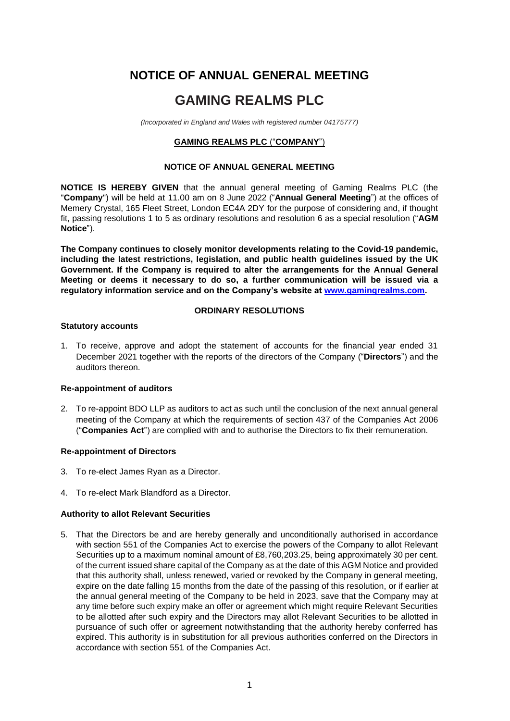# **NOTICE OF ANNUAL GENERAL MEETING**

# **GAMING REALMS PLC**

*(Incorporated in England and Wales with registered number 04175777)*

# **GAMING REALMS PLC** ("**COMPANY**")

## **NOTICE OF ANNUAL GENERAL MEETING**

**NOTICE IS HEREBY GIVEN** that the annual general meeting of Gaming Realms PLC (the "**Company**") will be held at 11.00 am on 8 June 2022 ("**Annual General Meeting**") at the offices of Memery Crystal, 165 Fleet Street, London EC4A 2DY for the purpose of considering and, if thought fit, passing resolutions 1 to 5 as ordinary resolutions and resolution 6 as a special resolution ("**AGM Notice**").

**The Company continues to closely monitor developments relating to the Covid-19 pandemic, including the latest restrictions, legislation, and public health guidelines issued by the UK Government. If the Company is required to alter the arrangements for the Annual General Meeting or deems it necessary to do so, a further communication will be issued via a regulatory information service and on the Company's website at [www.gamingrealms.com.](http://www.gamingrealms.com/)**

# **ORDINARY RESOLUTIONS**

## **Statutory accounts**

1. To receive, approve and adopt the statement of accounts for the financial year ended 31 December 2021 together with the reports of the directors of the Company ("**Directors**") and the auditors thereon.

# **Re-appointment of auditors**

2. To re-appoint BDO LLP as auditors to act as such until the conclusion of the next annual general meeting of the Company at which the requirements of section 437 of the Companies Act 2006 ("**Companies Act**") are complied with and to authorise the Directors to fix their remuneration.

## **Re-appointment of Directors**

- 3. To re-elect James Ryan as a Director.
- 4. To re-elect Mark Blandford as a Director.

## **Authority to allot Relevant Securities**

5. That the Directors be and are hereby generally and unconditionally authorised in accordance with section 551 of the Companies Act to exercise the powers of the Company to allot Relevant Securities up to a maximum nominal amount of £8,760,203.25, being approximately 30 per cent. of the current issued share capital of the Company as at the date of this AGM Notice and provided that this authority shall, unless renewed, varied or revoked by the Company in general meeting, expire on the date falling 15 months from the date of the passing of this resolution, or if earlier at the annual general meeting of the Company to be held in 2023, save that the Company may at any time before such expiry make an offer or agreement which might require Relevant Securities to be allotted after such expiry and the Directors may allot Relevant Securities to be allotted in pursuance of such offer or agreement notwithstanding that the authority hereby conferred has expired. This authority is in substitution for all previous authorities conferred on the Directors in accordance with section 551 of the Companies Act.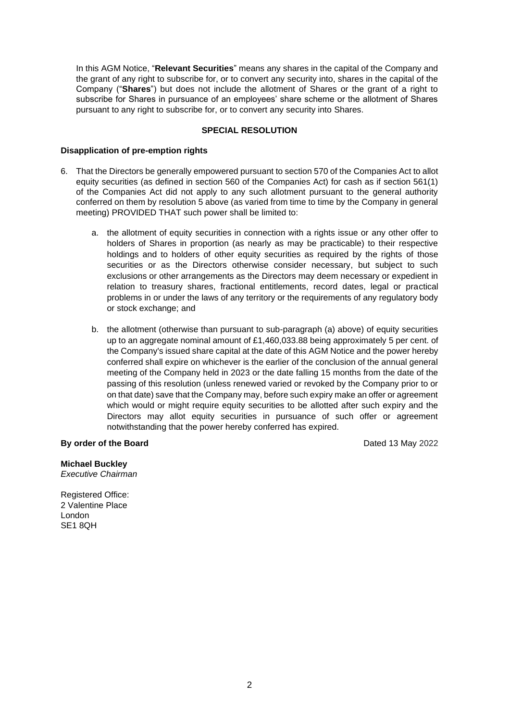In this AGM Notice, "**Relevant Securities**" means any shares in the capital of the Company and the grant of any right to subscribe for, or to convert any security into, shares in the capital of the Company ("**Shares**") but does not include the allotment of Shares or the grant of a right to subscribe for Shares in pursuance of an employees' share scheme or the allotment of Shares pursuant to any right to subscribe for, or to convert any security into Shares.

# **SPECIAL RESOLUTION**

## **Disapplication of pre-emption rights**

- 6. That the Directors be generally empowered pursuant to section 570 of the Companies Act to allot equity securities (as defined in section 560 of the Companies Act) for cash as if section 561(1) of the Companies Act did not apply to any such allotment pursuant to the general authority conferred on them by resolution 5 above (as varied from time to time by the Company in general meeting) PROVIDED THAT such power shall be limited to:
	- a. the allotment of equity securities in connection with a rights issue or any other offer to holders of Shares in proportion (as nearly as may be practicable) to their respective holdings and to holders of other equity securities as required by the rights of those securities or as the Directors otherwise consider necessary, but subject to such exclusions or other arrangements as the Directors may deem necessary or expedient in relation to treasury shares, fractional entitlements, record dates, legal or practical problems in or under the laws of any territory or the requirements of any regulatory body or stock exchange; and
	- b. the allotment (otherwise than pursuant to sub-paragraph (a) above) of equity securities up to an aggregate nominal amount of £1,460,033.88 being approximately 5 per cent. of the Company's issued share capital at the date of this AGM Notice and the power hereby conferred shall expire on whichever is the earlier of the conclusion of the annual general meeting of the Company held in 2023 or the date falling 15 months from the date of the passing of this resolution (unless renewed varied or revoked by the Company prior to or on that date) save that the Company may, before such expiry make an offer or agreement which would or might require equity securities to be allotted after such expiry and the Directors may allot equity securities in pursuance of such offer or agreement notwithstanding that the power hereby conferred has expired.

## **By order of the Board** Dated 13 May 2022

**Michael Buckley** *Executive Chairman*

Registered Office: 2 Valentine Place London SE<sub>1</sub> 8QH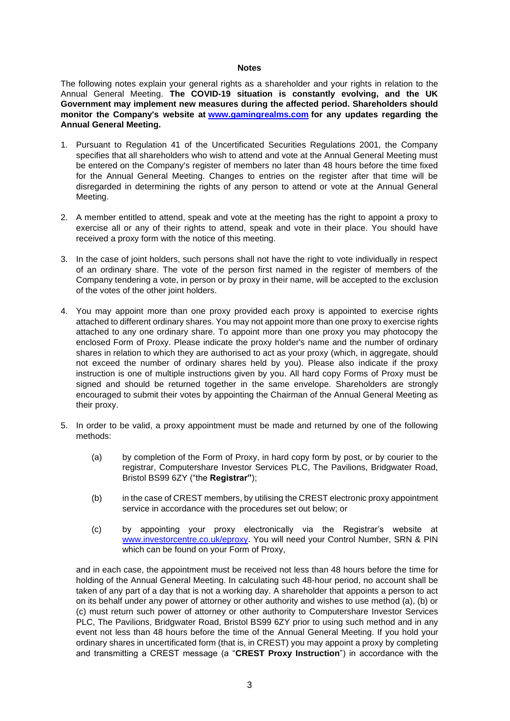#### **Notes**

The following notes explain your general rights as a shareholder and your rights in relation to the Annual General Meeting. **The COVID-19 situation is constantly evolving, and the UK Government may implement new measures during the affected period. Shareholders should monitor the Company's website at [www.gamingrealms.com](http://www.gamingrealms.com/) for any updates regarding the Annual General Meeting.**

- 1. Pursuant to Regulation 41 of the Uncertificated Securities Regulations 2001, the Company specifies that all shareholders who wish to attend and vote at the Annual General Meeting must be entered on the Company's register of members no later than 48 hours before the time fixed for the Annual General Meeting. Changes to entries on the register after that time will be disregarded in determining the rights of any person to attend or vote at the Annual General Meeting.
- 2. A member entitled to attend, speak and vote at the meeting has the right to appoint a proxy to exercise all or any of their rights to attend, speak and vote in their place. You should have received a proxy form with the notice of this meeting.
- 3. In the case of joint holders, such persons shall not have the right to vote individually in respect of an ordinary share. The vote of the person first named in the register of members of the Company tendering a vote, in person or by proxy in their name, will be accepted to the exclusion of the votes of the other joint holders.
- 4. You may appoint more than one proxy provided each proxy is appointed to exercise rights attached to different ordinary shares. You may not appoint more than one proxy to exercise rights attached to any one ordinary share. To appoint more than one proxy you may photocopy the enclosed Form of Proxy. Please indicate the proxy holder's name and the number of ordinary shares in relation to which they are authorised to act as your proxy (which, in aggregate, should not exceed the number of ordinary shares held by you). Please also indicate if the proxy instruction is one of multiple instructions given by you. All hard copy Forms of Proxy must be signed and should be returned together in the same envelope. Shareholders are strongly encouraged to submit their votes by appointing the Chairman of the Annual General Meeting as their proxy.
- 5. In order to be valid, a proxy appointment must be made and returned by one of the following methods:
	- (a) by completion of the Form of Proxy, in hard copy form by post, or by courier to the registrar, Computershare Investor Services PLC, The Pavilions, Bridgwater Road, Bristol BS99 6ZY ("the **Registrar"**);
	- (b) in the case of CREST members, by utilising the CREST electronic proxy appointment service in accordance with the procedures set out below; or
	- (c) by appointing your proxy electronically via the Registrar's website at [www.investorcentre.co.uk/eproxy.](http://www.investorcentre.co.uk/eproxy) You will need your Control Number, SRN & PIN which can be found on your Form of Proxy,

and in each case, the appointment must be received not less than 48 hours before the time for holding of the Annual General Meeting. In calculating such 48-hour period, no account shall be taken of any part of a day that is not a working day. A shareholder that appoints a person to act on its behalf under any power of attorney or other authority and wishes to use method (a), (b) or (c) must return such power of attorney or other authority to Computershare Investor Services PLC, The Pavilions, Bridgwater Road, Bristol BS99 6ZY prior to using such method and in any event not less than 48 hours before the time of the Annual General Meeting. If you hold your ordinary shares in uncertificated form (that is, in CREST) you may appoint a proxy by completing and transmitting a CREST message (a "**CREST Proxy Instruction**") in accordance with the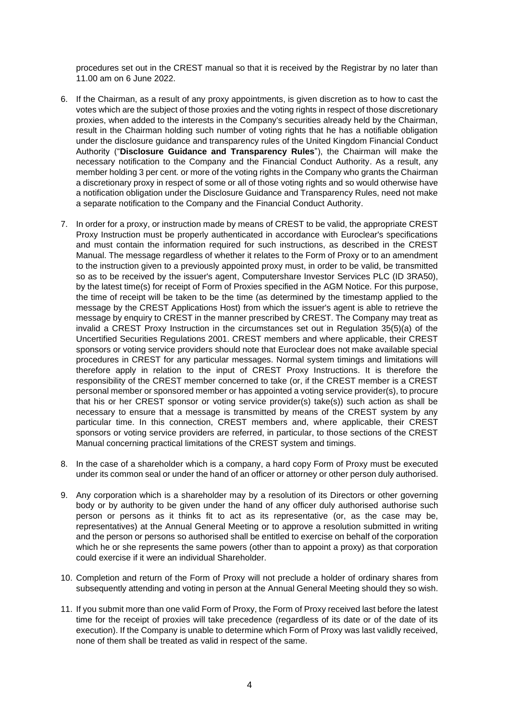procedures set out in the CREST manual so that it is received by the Registrar by no later than 11.00 am on 6 June 2022.

- 6. If the Chairman, as a result of any proxy appointments, is given discretion as to how to cast the votes which are the subject of those proxies and the voting rights in respect of those discretionary proxies, when added to the interests in the Company's securities already held by the Chairman, result in the Chairman holding such number of voting rights that he has a notifiable obligation under the disclosure guidance and transparency rules of the United Kingdom Financial Conduct Authority ("**Disclosure Guidance and Transparency Rules**"), the Chairman will make the necessary notification to the Company and the Financial Conduct Authority. As a result, any member holding 3 per cent. or more of the voting rights in the Company who grants the Chairman a discretionary proxy in respect of some or all of those voting rights and so would otherwise have a notification obligation under the Disclosure Guidance and Transparency Rules, need not make a separate notification to the Company and the Financial Conduct Authority.
- 7. In order for a proxy, or instruction made by means of CREST to be valid, the appropriate CREST Proxy Instruction must be properly authenticated in accordance with Euroclear's specifications and must contain the information required for such instructions, as described in the CREST Manual. The message regardless of whether it relates to the Form of Proxy or to an amendment to the instruction given to a previously appointed proxy must, in order to be valid, be transmitted so as to be received by the issuer's agent, Computershare Investor Services PLC (ID 3RA50), by the latest time(s) for receipt of Form of Proxies specified in the AGM Notice. For this purpose, the time of receipt will be taken to be the time (as determined by the timestamp applied to the message by the CREST Applications Host) from which the issuer's agent is able to retrieve the message by enquiry to CREST in the manner prescribed by CREST. The Company may treat as invalid a CREST Proxy Instruction in the circumstances set out in Regulation 35(5)(a) of the Uncertified Securities Regulations 2001. CREST members and where applicable, their CREST sponsors or voting service providers should note that Euroclear does not make available special procedures in CREST for any particular messages. Normal system timings and limitations will therefore apply in relation to the input of CREST Proxy Instructions. It is therefore the responsibility of the CREST member concerned to take (or, if the CREST member is a CREST personal member or sponsored member or has appointed a voting service provider(s), to procure that his or her CREST sponsor or voting service provider(s) take(s)) such action as shall be necessary to ensure that a message is transmitted by means of the CREST system by any particular time. In this connection, CREST members and, where applicable, their CREST sponsors or voting service providers are referred, in particular, to those sections of the CREST Manual concerning practical limitations of the CREST system and timings.
- 8. In the case of a shareholder which is a company, a hard copy Form of Proxy must be executed under its common seal or under the hand of an officer or attorney or other person duly authorised.
- 9. Any corporation which is a shareholder may by a resolution of its Directors or other governing body or by authority to be given under the hand of any officer duly authorised authorise such person or persons as it thinks fit to act as its representative (or, as the case may be, representatives) at the Annual General Meeting or to approve a resolution submitted in writing and the person or persons so authorised shall be entitled to exercise on behalf of the corporation which he or she represents the same powers (other than to appoint a proxy) as that corporation could exercise if it were an individual Shareholder.
- 10. Completion and return of the Form of Proxy will not preclude a holder of ordinary shares from subsequently attending and voting in person at the Annual General Meeting should they so wish.
- 11. If you submit more than one valid Form of Proxy, the Form of Proxy received last before the latest time for the receipt of proxies will take precedence (regardless of its date or of the date of its execution). If the Company is unable to determine which Form of Proxy was last validly received, none of them shall be treated as valid in respect of the same.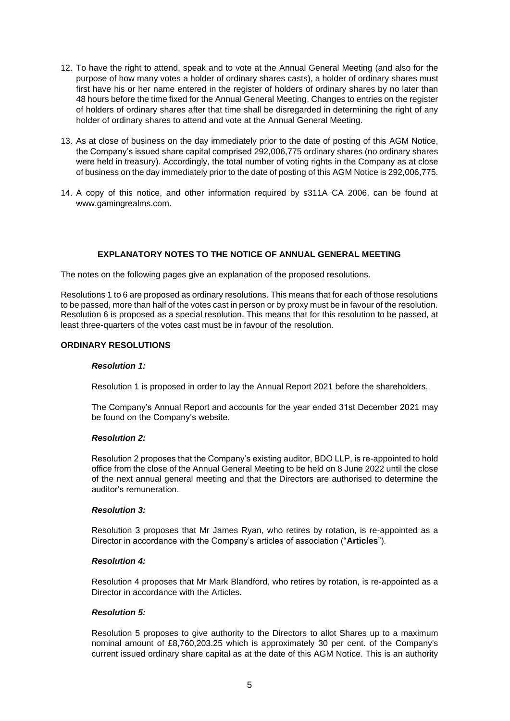- 12. To have the right to attend, speak and to vote at the Annual General Meeting (and also for the purpose of how many votes a holder of ordinary shares casts), a holder of ordinary shares must first have his or her name entered in the register of holders of ordinary shares by no later than 48 hours before the time fixed for the Annual General Meeting. Changes to entries on the register of holders of ordinary shares after that time shall be disregarded in determining the right of any holder of ordinary shares to attend and vote at the Annual General Meeting.
- 13. As at close of business on the day immediately prior to the date of posting of this AGM Notice, the Company's issued share capital comprised 292,006,775 ordinary shares (no ordinary shares were held in treasury). Accordingly, the total number of voting rights in the Company as at close of business on the day immediately prior to the date of posting of this AGM Notice is 292,006,775.
- 14. A copy of this notice, and other information required by s311A CA 2006, can be found at www.gamingrealms.com.

# **EXPLANATORY NOTES TO THE NOTICE OF ANNUAL GENERAL MEETING**

The notes on the following pages give an explanation of the proposed resolutions.

Resolutions 1 to 6 are proposed as ordinary resolutions. This means that for each of those resolutions to be passed, more than half of the votes cast in person or by proxy must be in favour of the resolution. Resolution 6 is proposed as a special resolution. This means that for this resolution to be passed, at least three-quarters of the votes cast must be in favour of the resolution.

## **ORDINARY RESOLUTIONS**

## *Resolution 1:*

Resolution 1 is proposed in order to lay the Annual Report 2021 before the shareholders.

The Company's Annual Report and accounts for the year ended 31st December 2021 may be found on the Company's website.

## *Resolution 2:*

Resolution 2 proposes that the Company's existing auditor, BDO LLP, is re-appointed to hold office from the close of the Annual General Meeting to be held on 8 June 2022 until the close of the next annual general meeting and that the Directors are authorised to determine the auditor's remuneration.

## *Resolution 3:*

Resolution 3 proposes that Mr James Ryan, who retires by rotation, is re-appointed as a Director in accordance with the Company's articles of association ("**Articles**").

## *Resolution 4:*

Resolution 4 proposes that Mr Mark Blandford, who retires by rotation, is re-appointed as a Director in accordance with the Articles.

## *Resolution 5:*

Resolution 5 proposes to give authority to the Directors to allot Shares up to a maximum nominal amount of £8,760,203.25 which is approximately 30 per cent. of the Company's current issued ordinary share capital as at the date of this AGM Notice. This is an authority